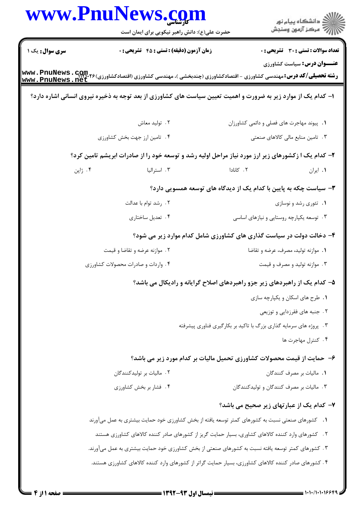|                              | www.PnuNews.com<br>حضرت علی(ع): دانش راهبر نیکویی برای ایمان است | الاد دانشگاه پيام نور<br>الا مرکز آزمون وسنجش                                                                  |  |
|------------------------------|------------------------------------------------------------------|----------------------------------------------------------------------------------------------------------------|--|
| سری سوال: یک ۱               | <b>زمان آزمون (دقیقه) : تستی : 45 تشریحی : 0</b>                 | <b>تعداد سوالات : تستی : 30 ٪ تشریحی : 0</b>                                                                   |  |
|                              |                                                                  | <b>عنـــوان درس:</b> سیاست کشاورزی                                                                             |  |
|                              |                                                                  | ا- کدام یک از موارد زیر به ضرورت و اهمیت تعیین سیاست های کشاورزی از بعد توجه به ذخیره نیروی انسانی اشاره دارد؟ |  |
|                              | ۰۲ تولید معاش                                                    | ٠١. پیوند مهاجرت های فصلی و دائمی کشاورزان                                                                     |  |
| ۰۴ تامین ارز جهت بخش کشاورزی |                                                                  | ۰۳ تامین منابع مالی کالاهای صنعتی                                                                              |  |
|                              |                                                                  | ۲- کدام یک ا زکشورهای زیر ارز مورد نیاز مراحل اولیه رشد و توسعه خود را از صادرات ابریشم تامین کرد؟             |  |
| ۰۴ ژاپن                      | ۰۳ استرالیا                                                      | ۲. کانادا<br>٠١. ايران                                                                                         |  |
|                              |                                                                  | ۳- سیاست چکه به پایین با کدام یک از دیدگاه های توسعه همسویی دارد؟                                              |  |
|                              | ۰۲ رشد توام با عدالت                                             | ۰۱ تئوري رشد و نوسازي                                                                                          |  |
|                              | ۰۴ تعدیل ساختاری                                                 | ۰۳ توسعه یکپارچه روستایی و نیازهای اساسی                                                                       |  |
|                              |                                                                  | ۴- دخالت دولت در سیاست گذاری های کشاورزی شامل کدام موارد زیر می شود؟                                           |  |
|                              | ۰۲ موازنه عرضه و تقاضا و قیمت                                    | ۰۱ موازنه تولید، مصرف، عرضه و تقاضا                                                                            |  |
|                              | ۰۴ واردات و صادرات محصولات کشاورزی                               | ۰۳ موازنه تولید و مصرف و قیمت                                                                                  |  |
|                              |                                                                  | ۵- کدام یک از راهبردهای زیر جزو راهبردهای اصلاح گرایانه و رادیکال می باشد؟                                     |  |
|                              |                                                                  | ۰۱ طرح های اسکان و یکپارچه سازی                                                                                |  |
|                              |                                                                  | ۰۲ جنبه های فقرزدایی و توزیعی                                                                                  |  |
|                              |                                                                  | ۰۳ پروژه های سرمایه گذاری بزرگ با تاکید بر بکارگیری فناوری پیشرفته                                             |  |
|                              |                                                                  | ۰۴ کنترل مهاجرت ها                                                                                             |  |
|                              |                                                                  | ۶- حمایت از قیمت محصولات کشاورزی تحمیل مالیات بر کدام مورد زیر می باشد؟                                        |  |
|                              | ۰۲ مالیات بر تولیدکنندگان                                        | ۰۱ مالیات بر مصرف کنندگان                                                                                      |  |
|                              | ۰۴ فشار بر بخش كشاورزي                                           | ۰۳ مالیات بر مصرف کنندگان و تولیدکنندگان                                                                       |  |
|                              |                                                                  | ۷- کدام یک از عبارتهای زیر صحیح می باشد؟                                                                       |  |
|                              |                                                                  | ۱. گشورهای صنعتی نسبت به کشورهای کمتر توسعه یافته از بخش کشاورزی خود حمایت بیشتری به عمل میآورند               |  |
|                              |                                                                  | ۲. کشورهای وارد کننده کالاهای کشاوری، بسیار حمایت گریز از کشورهای صادر کننده کالاهای کشاورزی هستند             |  |
|                              |                                                                  | ۳ . کشورهای کمتر توسعه یافته نسبت به کشورهای صنعتی از بخش کشاورزی خود حمایت بیشتری به عمل میآورند.             |  |
|                              |                                                                  | ۰۴ کشورهای صادر کننده کالاهای کشاورزی، بسیار حمایت گراتر از کشورهای وارد کننده کالاهای کشاورزی هستند.          |  |
|                              |                                                                  |                                                                                                                |  |
|                              |                                                                  |                                                                                                                |  |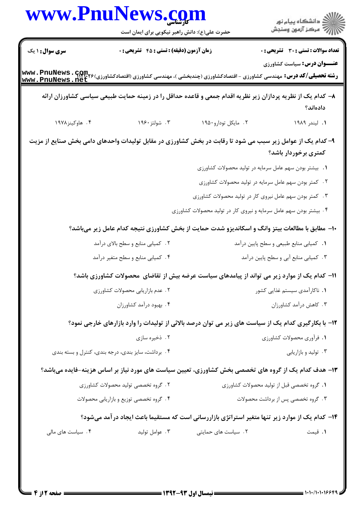|                        | www.PnuNews.com<br>حضرت علی(ع): دانش راهبر نیکویی برای ایمان است |                                                                                                                                               | الاد دانشگاه پيام نور<br>الا آمرکز آزمون وسنجش |
|------------------------|------------------------------------------------------------------|-----------------------------------------------------------------------------------------------------------------------------------------------|------------------------------------------------|
| <b>سری سوال :</b> ۱ یک | زمان آزمون (دقیقه) : تستی : 45 آتشریحی : 0                       |                                                                                                                                               | <b>تعداد سوالات : تستی : 30 ٪ تشریحی : 0</b>   |
|                        |                                                                  | <b>رشته تحصیلی/کد درس:</b> مهندسی کشاورزی - اقتصادکشاورزی (چندبخشی )، مهندسی کشاورزی (اقتصادکشاورزی) www . PnuNews . G<br>www . PnuNews . net | <b>عنـــوان درس:</b> سیاست کشاورزی             |
|                        |                                                                  | ۸– کدام یک از نظریه پردازان زیر نظریه اقدام جمعی و قاعده حداقل را در زمینه حمایت طبیعی سیاسی کشاورزان ارائه                                   | دادەاند؟                                       |
| ۰۴ هاوکینز۱۹۷۸         | ۰۳ شولتز ۱۹۶۰                                                    | ۰۲ مایکل تودارو ۱۹۵۰                                                                                                                          | ١. ليندر ١٩٨٩                                  |
|                        |                                                                  | ۹- کدام یک از عوامل زیر سبب می شود تا رقابت در بخش کشاورزی در مقابل تولیدات واحدهای دامی بخش صنایع از مزیت                                    | كمترى برخوردار باشد؟                           |
|                        |                                                                  | ۰۱ بیشتر بودن سهم عامل سرمایه در تولید محصولات کشاورزی                                                                                        |                                                |
|                        |                                                                  | ۲. کمتر بودن سهم عامل سرمایه در تولید محصولات کشاورزی                                                                                         |                                                |
|                        |                                                                  | ۰۳ کمتر بودن سهم عامل نیروی کار در تولید محصولات کشاورزی                                                                                      |                                                |
|                        |                                                                  | ۰۴ بیشتر بودن سهم عامل سرمایه و نیروی کار در تولید محصولات کشاورزی                                                                            |                                                |
|                        |                                                                  | ۱۰- مطابق با مطالعات بیتز وانگ و اسکاندیزو شدت حمایت از بخش کشاورزی نتیجه کدام عامل زیر میباشد؟                                               |                                                |
|                        | ۰۲ کمیابی منابع و سطح بالای درآمد                                |                                                                                                                                               | ٠١ كميابي منابع طبيعي و سطح پايين درآمد        |
|                        | ۰۴ کمیابی منابع و سطح متغیر درآمد                                |                                                                                                                                               | ۰۳ کمیابی منابع آبی و سطح پایین درآمد          |
|                        |                                                                  | 1۱– کدام یک از موارد زیر می تواند از پیامدهای سیاست عرضه بیش از تقاضای محصولات کشاورزی باشد؟                                                  |                                                |
|                        | ٢. عدم بازاريابي محصولات كشاورزى                                 |                                                                                                                                               | ٠١. ناكارآمدى سيستم غذايي كشور                 |
|                        | ۰۴ بهبود درآمد کشاورزان                                          |                                                                                                                                               | ۰۳ کاهش درآمد کشاورزان                         |
|                        |                                                                  | ۱۲- با بکارگیری کدام یک از سیاست های زیر می توان درصد بالائی از تولیدات را وارد بازارهای خارجی نمود؟                                          |                                                |
|                        | ۰۲ ذخیره سازی                                                    |                                                                                                                                               | ٠١. فرآوري محصولات كشاورزي                     |
|                        | ۴. برداشت، سایز بندی، درجه بندی، کنترل و بسته بندی               |                                                                                                                                               | ۰۳ تولید و بازاریابی                           |
|                        |                                                                  | ۱۳– هدف کدام یک از گروه های تخصصی بخش کشاورزی، تعیین سیاست های مورد نیاز بر اساس هزینه-فایده میباشد؟                                          |                                                |
|                        | ۲. گروه تخصصی تولید محصولات کشاورزی                              |                                                                                                                                               | ٠١. گروه تخصصي قبل از توليد محصولات كشاورزي    |
|                        | ۰۴ گروه تخصصی توزیع و بازاریابی محصولات                          |                                                                                                                                               | ۰۳ گروه تخصصی پس از برداشت محصولات             |
|                        |                                                                  | ۱۴- کدام یک از موارد زیر تنها متغیر استراتژی بازاررسانی است که مستقیما باعث ایجاد در آمد میشود؟                                               |                                                |
| ۰۴ سیاست های مالی      | ۰۳ عوامل توليد                                                   | ۰۲ سیاست های حمایتی                                                                                                                           | ٠١ قيمت                                        |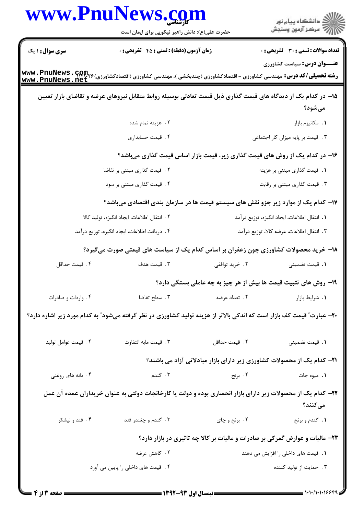|                              | www.PnuNews.com<br>حضرت علی(ع): دانش راهبر نیکویی برای ایمان است                                                     |                              | ر<br>دانشڪاه پيام نور)<br>اڳ مرڪز آزمون وسنڊش                                        |  |
|------------------------------|----------------------------------------------------------------------------------------------------------------------|------------------------------|--------------------------------------------------------------------------------------|--|
| <b>سری سوال : ۱ یک</b>       | زمان آزمون (دقیقه) : تستی : 45 آتشریحی : 0                                                                           |                              | تعداد سوالات : تستي : 30 - تشريحي : 0                                                |  |
| www.PnuNews.net              |                                                                                                                      |                              | <b>عنـــوان درس:</b> سیاست کشاورزی                                                   |  |
|                              | ۱۵− در کدام یک از دیدگاه های قیمت گذاری ذیل قیمت تعادلی بوسیله روابط متقابل نیروهای عرضه و تقاضای بازار تعیین        |                              | مىشود؟                                                                               |  |
|                              | ۰۲ هزینه تمام شده                                                                                                    |                              | ٠١. مكانيزم بازار                                                                    |  |
|                              | ۰۴ قیمت حسابداری                                                                                                     |                              | ۰۳ قیمت بر پایه میزان کار اجتماعی                                                    |  |
|                              |                                                                                                                      |                              | ۱۶– در کدام یک از روش های قیمت گذاری زیر، قیمت بازار اساس قیمت گذاری میباشد؟         |  |
| ٠٢ قيمت گذارى مبتنى بر تقاضا |                                                                                                                      | ۰۱ قیمت گذاری مبتنی بر هزینه |                                                                                      |  |
|                              | ۴. قیمت گذاری مبتنی بر سود                                                                                           |                              | ۰۳ قیمت گذاری مبتنی بر رقابت                                                         |  |
|                              | ۱۷– کدام یک از موارد زیر جزو نقش های سیستم قیمت ها در سازمان بندی اقتصادی میباشد؟                                    |                              |                                                                                      |  |
|                              | ٢. انتقال اطلاعات، ايجاد انگيزه، توليد كالا                                                                          |                              | ٠. انتقال اطلاعات، ايجاد انگيزه، توزيع درآمد                                         |  |
|                              | ۴. دريافت اطلاعات، ايجاد انگيزه، توزيع درآمد                                                                         |                              | ۰۳ انتقال اطلاعات، عرضه كالا، توزيع درآمد                                            |  |
|                              | ۱۸– خرید محصولات کشاورزی چون زعفران بر اساس کدام یک از سیاست های قیمتی صورت میگیرد؟                                  |                              |                                                                                      |  |
| ۰۴ قیمت حداقل                | ۰۳ قیمت هدف                                                                                                          | ۰۲ خرید توافقی               | ۰۱ قیمت تضمینی                                                                       |  |
|                              |                                                                                                                      |                              | ۱۹- روش های تثبیت قیمت ها بیش از هر چیز به چه عاملی بستگی دارد؟                      |  |
| ۰۴ واردات و صادرات           | ۰۳ سطح تقاضا                                                                                                         | ۲. تعداد عرضه                | ٠١. شرايط بازار                                                                      |  |
|                              | +۲- عبارت" قیمت کف بازار است که اندکی بالاتر از هزینه تولید کشاورزی در نظر گرفته میشود" به کدام مورد زیر اشاره دارد؟ |                              |                                                                                      |  |
| ۰۴ قیمت عوامل تولید          | ٠٣ قيمت مابه التفاوت                                                                                                 | ٠٢ قيمت حداقل                | 1. قيمت تضميني                                                                       |  |
|                              |                                                                                                                      |                              | <b>۲۱</b> - کدام یک از محصولات کشاورزی زیر دارای بازار مبادلاتی آزاد می باشند؟       |  |
| ۰۴ دانه های روغنی            | ۰۳ گندم                                                                                                              | ۲. برنج                      | ٠١. ميوه جات                                                                         |  |
|                              | ۲۲– کدام یک از محصولات زیر دارای بازار انحصاری بوده و دولت یا کارخانجات دولتی به عنوان خریداران عمده آن عمل          |                              | مىكنند؟                                                                              |  |
| ۰۴ قند و نیشکر               | ۰۳ گندم و چغندر قند                                                                                                  | ٢. برنج و چاي                | ۰۱ گندم و برنج                                                                       |  |
|                              |                                                                                                                      |                              | <b>۲۳</b> - مالیات و عوارض گمرکی بر صادرات و مالیات بر کالا چه تاثیری در بازار دارد؟ |  |
|                              | ۰۲ کاهش عرضه                                                                                                         |                              | ۰۱ قیمت های داخلی را افزایش می دهند                                                  |  |
|                              | ۰۴ قیمت های داخلی را پایین می آورد                                                                                   |                              | ۰۳ حمایت از تولید کننده                                                              |  |